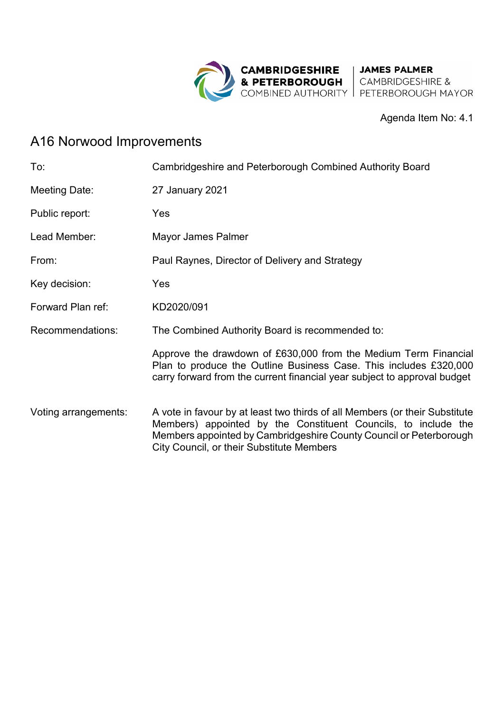

## Agenda Item No: 4.1

## A16 Norwood Improvements

| To:                  | Cambridgeshire and Peterborough Combined Authority Board                                                                                                                                                                                                         |
|----------------------|------------------------------------------------------------------------------------------------------------------------------------------------------------------------------------------------------------------------------------------------------------------|
| Meeting Date:        | 27 January 2021                                                                                                                                                                                                                                                  |
| Public report:       | Yes                                                                                                                                                                                                                                                              |
| Lead Member:         | Mayor James Palmer                                                                                                                                                                                                                                               |
| From:                | Paul Raynes, Director of Delivery and Strategy                                                                                                                                                                                                                   |
| Key decision:        | Yes                                                                                                                                                                                                                                                              |
| Forward Plan ref:    | KD2020/091                                                                                                                                                                                                                                                       |
| Recommendations:     | The Combined Authority Board is recommended to:                                                                                                                                                                                                                  |
|                      | Approve the drawdown of £630,000 from the Medium Term Financial<br>Plan to produce the Outline Business Case. This includes £320,000<br>carry forward from the current financial year subject to approval budget                                                 |
| Voting arrangements: | A vote in favour by at least two thirds of all Members (or their Substitute<br>Members) appointed by the Constituent Councils, to include the<br>Members appointed by Cambridgeshire County Council or Peterborough<br>City Council, or their Substitute Members |